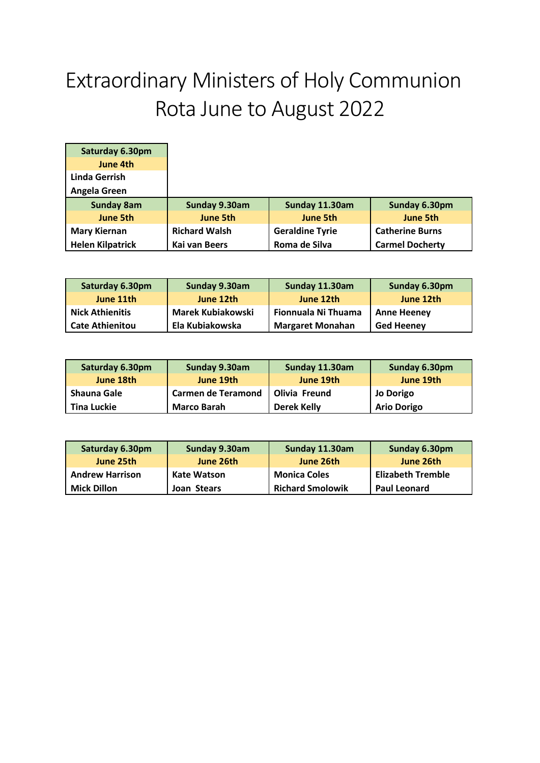## Extraordinary Ministers of Holy Communion Rota June to August 2022

| Saturday 6.30pm         |                      |                        |                        |
|-------------------------|----------------------|------------------------|------------------------|
| June 4th                |                      |                        |                        |
| Linda Gerrish           |                      |                        |                        |
| Angela Green            |                      |                        |                        |
| <b>Sunday 8am</b>       | Sunday 9.30am        | Sunday 11.30am         | Sunday 6.30pm          |
| June 5th                | June 5th             | June 5th               | June 5th               |
| <b>Mary Kiernan</b>     | <b>Richard Walsh</b> | <b>Geraldine Tyrie</b> | <b>Catherine Burns</b> |
| <b>Helen Kilpatrick</b> | Kai van Beers        | Roma de Silva          | <b>Carmel Docherty</b> |

| Saturday 6.30pm        | Sunday 9.30am            | Sunday 11.30am          | Sunday 6.30pm      |
|------------------------|--------------------------|-------------------------|--------------------|
| June 11th              | June 12th                | June 12th               | June 12th          |
| <b>Nick Athienitis</b> | <b>Marek Kubiakowski</b> | Fionnuala Ni Thuama     | <b>Anne Heeney</b> |
| <b>Cate Athienitou</b> | Ela Kubiakowska          | <b>Margaret Monahan</b> | <b>Ged Heeney</b>  |

| Saturday 6.30pm    | Sunday 9.30am             | Sunday 11.30am     | Sunday 6.30pm      |
|--------------------|---------------------------|--------------------|--------------------|
| June 18th          | June 19th                 | June 19th          | June 19th          |
| Shauna Gale        | <b>Carmen de Teramond</b> | Olivia Freund      | <b>Jo Dorigo</b>   |
| <b>Tina Luckie</b> | <b>Marco Barah</b>        | <b>Derek Kelly</b> | <b>Ario Dorigo</b> |

| Saturday 6.30pm        | Sunday 9.30am      | Sunday 11.30am          | Sunday 6.30pm            |
|------------------------|--------------------|-------------------------|--------------------------|
| June 25th              | June 26th          | June 26th               | June 26th                |
| <b>Andrew Harrison</b> | <b>Kate Watson</b> | <b>Monica Coles</b>     | <b>Elizabeth Tremble</b> |
| <b>Mick Dillon</b>     | Joan Stears        | <b>Richard Smolowik</b> | <b>Paul Leonard</b>      |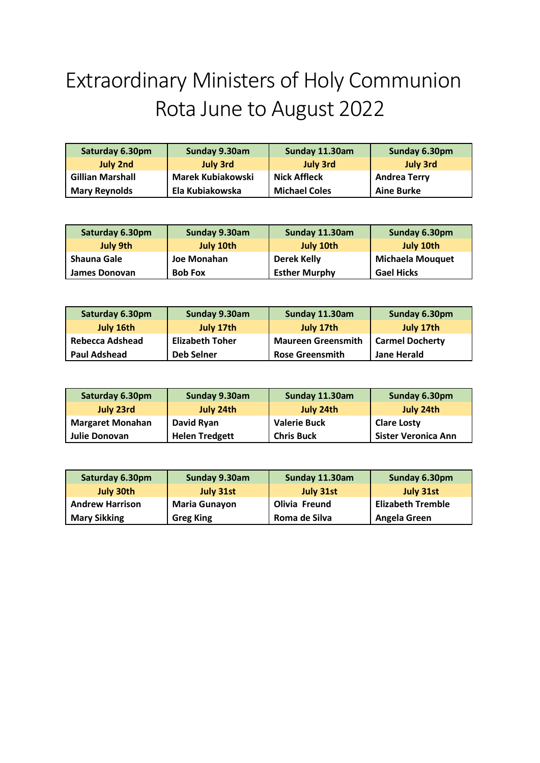## Extraordinary Ministers of Holy Communion Rota June to August 2022

| Saturday 6.30pm         | Sunday 9.30am            | Sunday 11.30am       | Sunday 6.30pm       |
|-------------------------|--------------------------|----------------------|---------------------|
| July 2nd                | <b>July 3rd</b>          | <b>July 3rd</b>      | <b>July 3rd</b>     |
| <b>Gillian Marshall</b> | <b>Marek Kubiakowski</b> | <b>Nick Affleck</b>  | <b>Andrea Terry</b> |
| <b>Mary Reynolds</b>    | Ela Kubiakowska          | <b>Michael Coles</b> | <b>Aine Burke</b>   |

| Saturday 6.30pm      | Sunday 9.30am  | Sunday 11.30am       | Sunday 6.30pm           |
|----------------------|----------------|----------------------|-------------------------|
| July 9th             | July 10th      | July 10th            | July 10th               |
| Shauna Gale          | Joe Monahan    | <b>Derek Kelly</b>   | <b>Michaela Mouquet</b> |
| <b>James Donovan</b> | <b>Bob Fox</b> | <b>Esther Murphy</b> | <b>Gael Hicks</b>       |

| Saturday 6.30pm     | Sunday 9.30am          | Sunday 11.30am            | Sunday 6.30pm          |
|---------------------|------------------------|---------------------------|------------------------|
| July 16th           | July 17th              | July 17th                 | July 17th              |
| Rebecca Adshead     | <b>Elizabeth Toher</b> | <b>Maureen Greensmith</b> | <b>Carmel Docherty</b> |
| <b>Paul Adshead</b> | <b>Deb Selner</b>      | <b>Rose Greensmith</b>    | <b>Jane Herald</b>     |

| Saturday 6.30pm         | Sunday 9.30am         | Sunday 11.30am      | Sunday 6.30pm              |
|-------------------------|-----------------------|---------------------|----------------------------|
| July 23rd               | July 24th             | July 24th           | July 24th                  |
| <b>Margaret Monahan</b> | David Ryan            | <b>Valerie Buck</b> | <b>Clare Losty</b>         |
| <b>Julie Donovan</b>    | <b>Helen Tredgett</b> | <b>Chris Buck</b>   | <b>Sister Veronica Ann</b> |

| Saturday 6.30pm        | Sunday 9.30am        | Sunday 11.30am | Sunday 6.30pm            |
|------------------------|----------------------|----------------|--------------------------|
| July 30th              | July 31st            | July 31st      | July 31st                |
| <b>Andrew Harrison</b> | <b>Maria Gunayon</b> | Olivia Freund  | <b>Elizabeth Tremble</b> |
| <b>Mary Sikking</b>    | <b>Greg King</b>     | Roma de Silva  | Angela Green             |